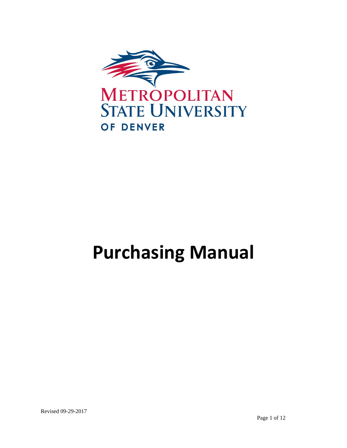

# **Purchasing Manual**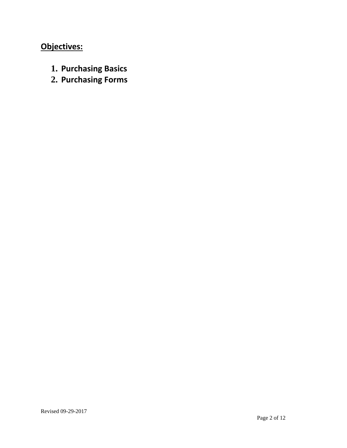# **Objectives:**

- **1. Purchasing Basics**
- **2. Purchasing Forms**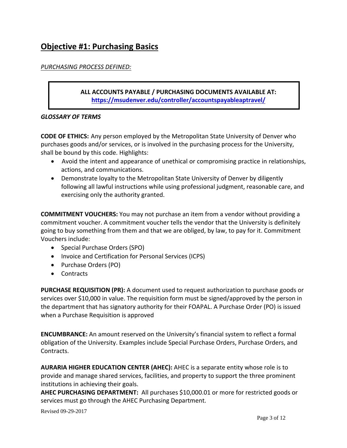### **Objective #1: Purchasing Basics**

#### *PURCHASING PROCESS DEFINED:*

#### **ALL ACCOUNTS PAYABLE / PURCHASING DOCUMENTS AVAILABLE AT: https://msudenver.edu/controller/accountspayableaptravel/**

#### *GLOSSARY OF TERMS*

**CODE OF ETHICS:** Any person employed by the Metropolitan State University of Denver who purchases goods and/or services, or is involved in the purchasing process for the University, shall be bound by this code. Highlights:

- Avoid the intent and appearance of unethical or compromising practice in relationships, actions, and communications.
- Demonstrate loyalty to the Metropolitan State University of Denver by diligently following all lawful instructions while using professional judgment, reasonable care, and exercising only the authority granted.

**COMMITMENT VOUCHERS:** You may not purchase an item from a vendor without providing a commitment voucher. A commitment voucher tells the vendor that the University is definitely going to buy something from them and that we are obliged, by law, to pay for it. Commitment Vouchers include:

- Special Purchase Orders (SPO)
- Invoice and Certification for Personal Services (ICPS)
- Purchase Orders (PO)
- Contracts

**PURCHASE REQUISITION (PR):** A document used to request authorization to purchase goods or services over \$10,000 in value. The requisition form must be signed/approved by the person in the department that has signatory authority for their FOAPAL. A Purchase Order (PO) is issued when a Purchase Requisition is approved

**ENCUMBRANCE:** An amount reserved on the University's financial system to reflect a formal obligation of the University. Examples include Special Purchase Orders, Purchase Orders, and Contracts.

**AURARIA HIGHER EDUCATION CENTER (AHEC):** AHEC is a separate entity whose role is to provide and manage shared services, facilities, and property to support the three prominent institutions in achieving their goals.

**AHEC PURCHASING DEPARTMENT:** All purchases \$10,000.01 or more for restricted goods or services must go through the AHEC Purchasing Department.

Revised 09-29-2017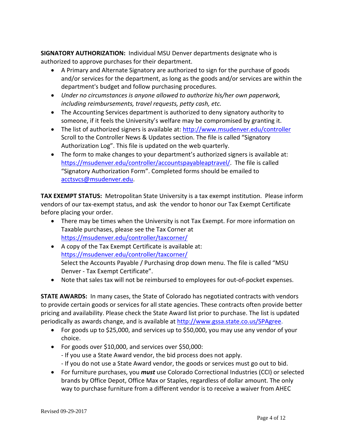**SIGNATORY AUTHORIZATION:** Individual MSU Denver departments designate who is authorized to approve purchases for their department.

- A Primary and Alternate Signatory are authorized to sign for the purchase of goods and/or services for the department, as long as the goods and/or services are within the department's budget and follow purchasing procedures.
- *Under no circumstances is anyone allowed to authorize his/her own paperwork, including reimbursements, travel requests, petty cash, etc.*
- The Accounting Services department is authorized to deny signatory authority to someone, if it feels the University's welfare may be compromised by granting it.
- The list of authorized signers is available at: http://www.msudenver.edu/controller Scroll to the Controller News & Updates section. The file is called "Signatory Authorization Log". This file is updated on the web quarterly.
- The form to make changes to your department's authorized signers is available at: https://msudenver.edu/controller/accountspayableaptravel/. The file is called "Signatory Authorization Form". Completed forms should be emailed to acctsvcs@msudenver.edu.

**TAX EXEMPT STATUS:** Metropolitan State University is a tax exempt institution. Please inform vendors of our tax‐exempt status, and ask the vendor to honor our Tax Exempt Certificate before placing your order.

- There may be times when the University is not Tax Exempt. For more information on Taxable purchases, please see the Tax Corner at https://msudenver.edu/controller/taxcorner/
- A copy of the Tax Exempt Certificate is available at: https://msudenver.edu/controller/taxcorner/ Select the Accounts Payable / Purchasing drop down menu. The file is called "MSU Denver ‐ Tax Exempt Certificate".
- Note that sales tax will not be reimbursed to employees for out‐of‐pocket expenses.

**STATE AWARDS:** In many cases, the State of Colorado has negotiated contracts with vendors to provide certain goods or services for all state agencies. These contracts often provide better pricing and availability. Please check the State Award list prior to purchase. The list is updated periodically as awards change, and is available at http://www.gssa.state.co.us/SPAgree.

- For goods up to \$25,000, and services up to \$50,000, you may use any vendor of your choice.
- For goods over \$10,000, and services over \$50,000:
	- ‐ If you use a State Award vendor, the bid process does not apply.
	- ‐ If you do not use a State Award vendor, the goods or services must go out to bid.
- For furniture purchases, you *must* use Colorado Correctional Industries (CCI) or selected brands by Office Depot, Office Max or Staples, regardless of dollar amount. The only way to purchase furniture from a different vendor is to receive a waiver from AHEC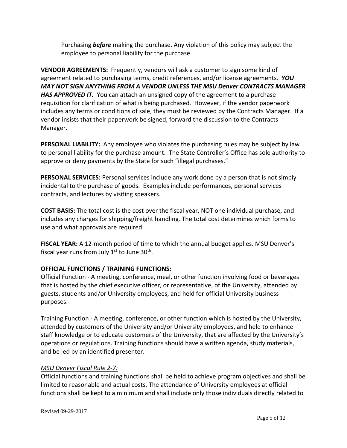Purchasing *before* making the purchase. Any violation of this policy may subject the employee to personal liability for the purchase.

**VENDOR AGREEMENTS:** Frequently, vendors will ask a customer to sign some kind of agreement related to purchasing terms, credit references, and/or license agreements. *YOU MAY NOT SIGN ANYTHING FROM A VENDOR UNLESS THE MSU Denver CONTRACTS MANAGER HAS APPROVED IT.* You can attach an unsigned copy of the agreement to a purchase requisition for clarification of what is being purchased. However, if the vendor paperwork includes any terms or conditions of sale, they must be reviewed by the Contracts Manager. If a vendor insists that their paperwork be signed, forward the discussion to the Contracts Manager.

**PERSONAL LIABILITY:** Any employee who violates the purchasing rules may be subject by law to personal liability for the purchase amount. The State Controller's Office has sole authority to approve or deny payments by the State for such "illegal purchases."

**PERSONAL SERVICES:** Personal services include any work done by a person that is not simply incidental to the purchase of goods. Examples include performances, personal services contracts, and lectures by visiting speakers.

**COST BASIS:** The total cost is the cost over the fiscal year, NOT one individual purchase, and includes any charges for shipping/freight handling*.* The total cost determines which forms to use and what approvals are required.

**FISCAL YEAR:** A 12‐month period of time to which the annual budget applies. MSU Denver's fiscal year runs from July  $1<sup>st</sup>$  to June 30<sup>th</sup>.

#### **OFFICIAL FUNCTIONS / TRAINING FUNCTIONS:**

Official Function ‐ A meeting, conference, meal, or other function involving food or beverages that is hosted by the chief executive officer, or representative, of the University, attended by guests, students and/or University employees, and held for official University business purposes.

Training Function ‐ A meeting, conference, or other function which is hosted by the University, attended by customers of the University and/or University employees, and held to enhance staff knowledge or to educate customers of the University, that are affected by the University's operations or regulations. Training functions should have a written agenda, study materials, and be led by an identified presenter.

#### *MSU Denver Fiscal Rule 2‐7:*

Official functions and training functions shall be held to achieve program objectives and shall be limited to reasonable and actual costs. The attendance of University employees at official functions shall be kept to a minimum and shall include only those individuals directly related to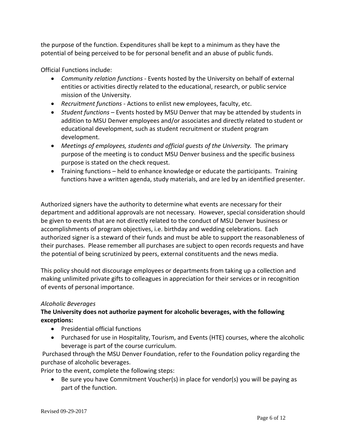the purpose of the function. Expenditures shall be kept to a minimum as they have the potential of being perceived to be for personal benefit and an abuse of public funds.

Official Functions include:

- *Community relation functions* ‐ Events hosted by the University on behalf of external entities or activities directly related to the educational, research, or public service mission of the University.
- *Recruitment functions* ‐ Actions to enlist new employees, faculty, etc.
- *Student functions* Events hosted by MSU Denver that may be attended by students in addition to MSU Denver employees and/or associates and directly related to student or educational development, such as student recruitment or student program development.
- *Meetings of employees, students and official guests of the University.* The primary purpose of the meeting is to conduct MSU Denver business and the specific business purpose is stated on the check request.
- Training functions held to enhance knowledge or educate the participants. Training functions have a written agenda, study materials, and are led by an identified presenter.

Authorized signers have the authority to determine what events are necessary for their department and additional approvals are not necessary. However, special consideration should be given to events that are not directly related to the conduct of MSU Denver business or accomplishments of program objectives, i.e. birthday and wedding celebrations. Each authorized signer is a steward of their funds and must be able to support the reasonableness of their purchases. Please remember all purchases are subject to open records requests and have the potential of being scrutinized by peers, external constituents and the news media.

This policy should not discourage employees or departments from taking up a collection and making unlimited private gifts to colleagues in appreciation for their services or in recognition of events of personal importance.

#### *Alcoholic Beverages*

#### **The University does not authorize payment for alcoholic beverages, with the following exceptions:**

- Presidential official functions
- Purchased for use in Hospitality, Tourism, and Events (HTE) courses, where the alcoholic beverage is part of the course curriculum.

Purchased through the MSU Denver Foundation, refer to the Foundation policy regarding the purchase of alcoholic beverages.

Prior to the event, complete the following steps:

 Be sure you have Commitment Voucher(s) in place for vendor(s) you will be paying as part of the function.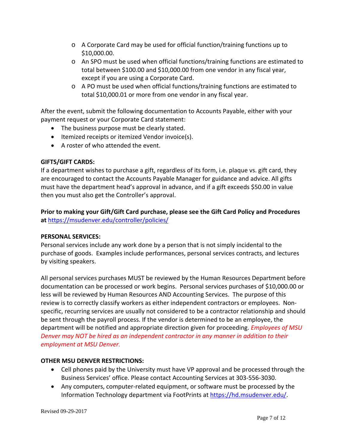- o A Corporate Card may be used for official function/training functions up to \$10,000.00.
- o An SPO must be used when official functions/training functions are estimated to total between \$100.00 and \$10,000.00 from one vendor in any fiscal year, except if you are using a Corporate Card.
- o A PO must be used when official functions/training functions are estimated to total \$10,000.01 or more from one vendor in any fiscal year.

After the event, submit the following documentation to Accounts Payable, either with your payment request or your Corporate Card statement:

- The business purpose must be clearly stated.
- $\bullet$  Itemized receipts or itemized Vendor invoice(s).
- A roster of who attended the event.

#### **GIFTS/GIFT CARDS:**

If a department wishes to purchase a gift, regardless of its form, i.e. plaque vs. gift card, they are encouraged to contact the Accounts Payable Manager for guidance and advice. All gifts must have the department head's approval in advance, and if a gift exceeds \$50.00 in value then you must also get the Controller's approval.

#### **Prior to making your Gift/Gift Card purchase, please see the Gift Card Policy and Procedures at** https://msudenver.edu/controller/policies/

#### **PERSONAL SERVICES:**

Personal services include any work done by a person that is not simply incidental to the purchase of goods. Examples include performances, personal services contracts, and lectures by visiting speakers.

All personal services purchases MUST be reviewed by the Human Resources Department before documentation can be processed or work begins. Personal services purchases of \$10,000.00 or less will be reviewed by Human Resources AND Accounting Services. The purpose of this review is to correctly classify workers as either independent contractors or employees. Non‐ specific, recurring services are usually not considered to be a contractor relationship and should be sent through the payroll process. If the vendor is determined to be an employee, the department will be notified and appropriate direction given for proceeding. *Employees of MSU Denver may NOT be hired as an independent contractor in any manner in addition to their employment at MSU Denver.*

#### **OTHER MSU DENVER RESTRICTIONS:**

- Cell phones paid by the University must have VP approval and be processed through the Business Services' office. Please contact Accounting Services at 303‐556‐3030.
- Any computers, computer-related equipment, or software must be processed by the Information Technology department via FootPrints at https://hd.msudenver.edu/.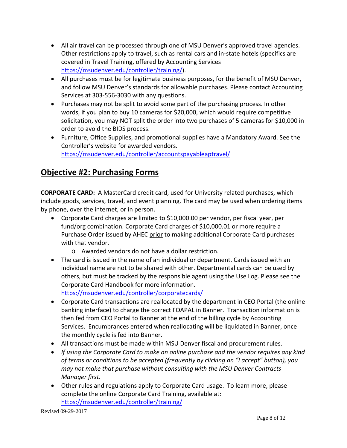- All air travel can be processed through one of MSU Denver's approved travel agencies. Other restrictions apply to travel, such as rental cars and in‐state hotels (specifics are covered in Travel Training, offered by Accounting Services https://msudenver.edu/controller/training/).
- All purchases must be for legitimate business purposes, for the benefit of MSU Denver, and follow MSU Denver's standards for allowable purchases. Please contact Accounting Services at 303‐556‐3030 with any questions.
- Purchases may not be split to avoid some part of the purchasing process. In other words, if you plan to buy 10 cameras for \$20,000, which would require competitive solicitation, you may NOT split the order into two purchases of 5 cameras for \$10,000 in order to avoid the BIDS process.
- Furniture, Office Supplies, and promotional supplies have a Mandatory Award. See the Controller's website for awarded vendors. https://msudenver.edu/controller/accountspayableaptravel/

## **Objective #2: Purchasing Forms**

**CORPORATE CARD:** A MasterCard credit card, used for University related purchases, which include goods, services, travel, and event planning. The card may be used when ordering items by phone, over the internet, or in person.

- Corporate Card charges are limited to \$10,000.00 per vendor, per fiscal year, per fund/org combination. Corporate Card charges of \$10,000.01 or more require a Purchase Order issued by AHEC prior to making additional Corporate Card purchases with that vendor.
	- o Awarded vendors do not have a dollar restriction.
- The card is issued in the name of an individual or department. Cards issued with an individual name are not to be shared with other. Departmental cards can be used by others, but must be tracked by the responsible agent using the Use Log. Please see the Corporate Card Handbook for more information.

https://msudenver.edu/controller/corporatecards/

- Corporate Card transactions are reallocated by the department in CEO Portal (the online banking interface) to charge the correct FOAPAL in Banner. Transaction information is then fed from CEO Portal to Banner at the end of the billing cycle by Accounting Services. Encumbrances entered when reallocating will be liquidated in Banner, once the monthly cycle is fed into Banner.
- All transactions must be made within MSU Denver fiscal and procurement rules.
- *If using the Corporate Card to make an online purchase and the vendor requires any kind of terms or conditions to be accepted (frequently by clicking an "I accept" button), you may not make that purchase without consulting with the MSU Denver Contracts Manager first.*
- Other rules and regulations apply to Corporate Card usage. To learn more, please complete the online Corporate Card Training, available at: https://msudenver.edu/controller/training/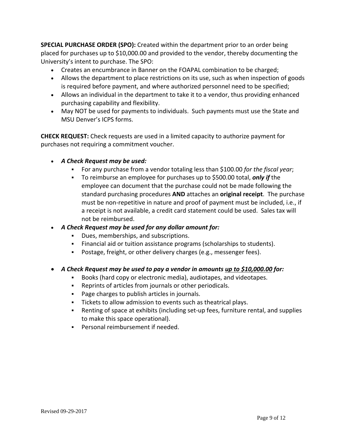**SPECIAL PURCHASE ORDER (SPO):** Created within the department prior to an order being placed for purchases up to \$10,000.00 and provided to the vendor, thereby documenting the University's intent to purchase. The SPO:

- Creates an encumbrance in Banner on the FOAPAL combination to be charged;
- Allows the department to place restrictions on its use, such as when inspection of goods is required before payment, and where authorized personnel need to be specified;
- Allows an individual in the department to take it to a vendor, thus providing enhanced purchasing capability and flexibility.
- May NOT be used for payments to individuals. Such payments must use the State and MSU Denver's ICPS forms.

**CHECK REQUEST:** Check requests are used in a limited capacity to authorize payment for purchases not requiring a commitment voucher.

- *A Check Request may be used:*
	- For any purchase from a vendor totaling less than \$100.00 *for the fiscal year*;
	- To reimburse an employee for purchases up to \$500.00 total, *only if* the employee can document that the purchase could not be made following the standard purchasing procedures **AND** attaches an **original receipt**. The purchase must be non‐repetitive in nature and proof of payment must be included, i.e., if a receipt is not available, a credit card statement could be used. Sales tax will not be reimbursed.
- *A Check Request may be used for any dollar amount for:*
	- Dues, memberships, and subscriptions.
	- Financial aid or tuition assistance programs (scholarships to students).
	- Postage, freight, or other delivery charges (e.g., messenger fees).
- *A Check Request may be used to pay a vendor in amounts up to \$10,000.00 for:*
	- Books (hard copy or electronic media), audiotapes, and videotapes.
	- Reprints of articles from journals or other periodicals.
	- **Page charges to publish articles in journals.**
	- Tickets to allow admission to events such as theatrical plays.
	- Renting of space at exhibits (including set-up fees, furniture rental, and supplies to make this space operational).
	- Personal reimbursement if needed.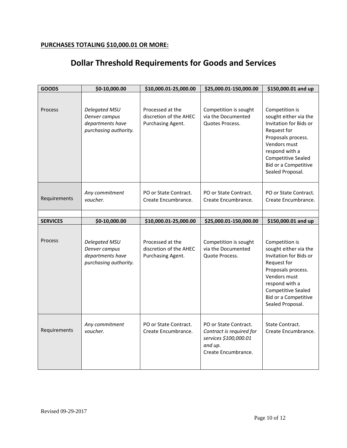#### **PURCHASES TOTALING \$10,000.01 OR MORE:**

# **Dollar Threshold Requirements for Goods and Services**

| <b>GOODS</b>    | \$0-10,000.00                                                               | \$10,000.01-25,000.00                                           | \$25,000.01-150,000.00                                                                                       | \$150,000.01 and up                                                                                                                                                                                               |
|-----------------|-----------------------------------------------------------------------------|-----------------------------------------------------------------|--------------------------------------------------------------------------------------------------------------|-------------------------------------------------------------------------------------------------------------------------------------------------------------------------------------------------------------------|
| Process         | Delegated MSU<br>Denver campus<br>departments have<br>purchasing authority. | Processed at the<br>discretion of the AHEC<br>Purchasing Agent. | Competition is sought<br>via the Documented<br>Quotes Process.                                               | Competition is<br>sought either via the<br>Invitation for Bids or<br>Request for<br>Proposals process.<br>Vendors must<br>respond with a<br><b>Competitive Sealed</b><br>Bid or a Competitive<br>Sealed Proposal. |
| Requirements    | Any commitment<br>voucher.                                                  | PO or State Contract.<br>Create Encumbrance.                    | PO or State Contract.<br>Create Encumbrance.                                                                 | PO or State Contract.<br>Create Encumbrance.                                                                                                                                                                      |
|                 |                                                                             |                                                                 |                                                                                                              |                                                                                                                                                                                                                   |
| <b>SERVICES</b> | \$0-10,000.00                                                               | \$10,000.01-25,000.00                                           | \$25,000.01-150,000.00                                                                                       | \$150,000.01 and up                                                                                                                                                                                               |
| Process         | Delegated MSU<br>Denver campus<br>departments have<br>purchasing authority. | Processed at the<br>discretion of the AHEC<br>Purchasing Agent. | Competition is sought<br>via the Documented<br>Quote Process.                                                | Competition is<br>sought either via the<br>Invitation for Bids or<br>Request for<br>Proposals process.<br>Vendors must<br>respond with a<br>Competitive Sealed<br>Bid or a Competitive<br>Sealed Proposal.        |
| Requirements    | Any commitment<br>voucher.                                                  | PO or State Contract.<br>Create Encumbrance.                    | PO or State Contract.<br>Contract is required for<br>services \$100,000.01<br>and up.<br>Create Encumbrance. | State Contract.<br>Create Encumbrance.                                                                                                                                                                            |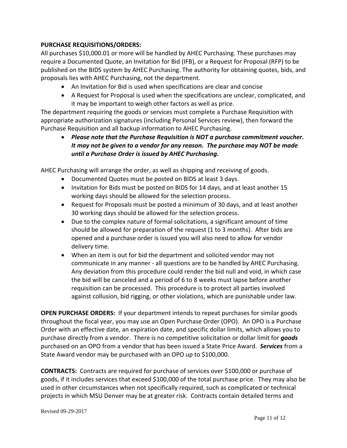#### **PURCHASE REQUISITIONS/ORDERS:**

All purchases \$10,000.01 or more will be handled by AHEC Purchasing. These purchases may require a Documented Quote, an Invitation for Bid (IFB), or a Request for Proposal (RFP) to be published on the BIDS system by AHEC Purchasing. The authority for obtaining quotes, bids, and proposals lies with AHEC Purchasing, not the department.

- An Invitation for Bid is used when specifications are clear and concise
- A Request for Proposal is used when the specifications are unclear, complicated, and it may be important to weigh other factors as well as price.

The department requiring the goods or services must complete a Purchase Requisition with appropriate authorization signatures (including Personal Services review), then forward the Purchase Requisition and all backup information to AHEC Purchasing.

 *Please note that the Purchase Requisition is NOT a purchase commitment voucher. It may not be given to a vendor for any reason. The purchase may NOT be made until a Purchase Order is issued by AHEC Purchasing.*

AHEC Purchasing will arrange the order, as well as shipping and receiving of goods.

- Documented Quotes must be posted on BIDS at least 3 days.
- Invitation for Bids must be posted on BIDS for 14 days, and at least another 15 working days should be allowed for the selection process.
- Request for Proposals must be posted a minimum of 30 days, and at least another 30 working days should be allowed for the selection process.
- Due to the complex nature of formal solicitations, a significant amount of time should be allowed for preparation of the request (1 to 3 months). After bids are opened and a purchase order is issued you will also need to allow for vendor delivery time.
- When an item is out for bid the department and solicited vendor may not communicate in any manner ‐ all questions are to be handled by AHEC Purchasing. Any deviation from this procedure could render the bid null and void, in which case the bid will be canceled and a period of 6 to 8 weeks must lapse before another requisition can be processed. This procedure is to protect all parties involved against collusion, bid rigging, or other violations, which are punishable under law.

**OPEN PURCHASE ORDERS:** If your department intends to repeat purchases for similar goods throughout the fiscal year, you may use an Open Purchase Order (OPO). An OPO is a Purchase Order with an effective date, an expiration date, and specific dollar limits, which allows you to purchase directly from a vendor. There is no competitive solicitation or dollar limit for *goods* purchased on an OPO from a vendor that has been issued a State Price Award. *Services* from a State Award vendor may be purchased with an OPO up to \$100,000.

**CONTRACTS:** Contracts are required for purchase of services over \$100,000 or purchase of goods, if it includes services that exceed \$100,000 of the total purchase price. They may also be used in other circumstances when not specifically required, such as complicated or technical projects in which MSU Denver may be at greater risk. Contracts contain detailed terms and